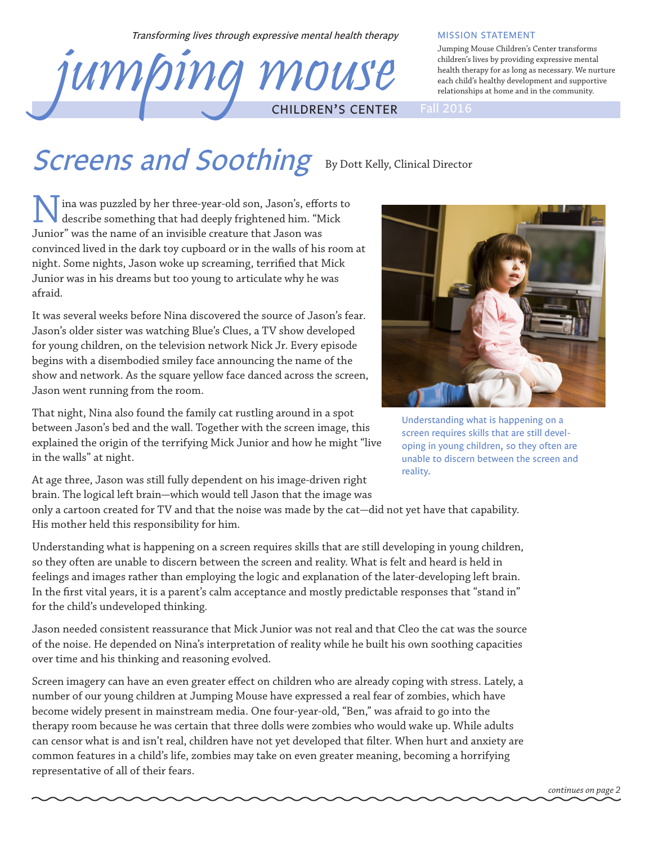Transforming lives through expressive mental health therapy

# jumping mouse CHILDREN'S CENTER Fall 2016

#### MISSION STATEMENT

Jumping Mouse Children's Center transforms children's lives by providing expressive mental health therapy for as long as necessary. We nurture each child's healthy development and supportive relationships at home and in the community.

## Screens and Soothing By Dott Kelly, Clinical Director

I ina was puzzled by her three-year-old son, Jason's, efforts to describe something that had deeply frightened him. "Mick Junior" was the name of an invisible creature that Jason was convinced lived in the dark toy cupboard or in the walls of his room at night. Some nights, Jason woke up screaming, terrified that Mick Junior was in his dreams but too young to articulate why he was afraid.

It was several weeks before Nina discovered the source of Jason's fear. Jason's older sister was watching Blue's Clues, a TV show developed for young children, on the television network Nick Jr. Every episode begins with a disembodied smiley face announcing the name of the show and network. As the square yellow face danced across the screen, Jason went running from the room.

That night, Nina also found the family cat rustling around in a spot between Jason's bed and the wall. Together with the screen image, this explained the origin of the terrifying Mick Junior and how he might "live in the walls" at night.

Understanding what is happening on a screen requires skills that are still developing in young children, so they often are unable to discern between the screen and reality.

At age three, Jason was still fully dependent on his image-driven right brain. The logical left brain—which would tell Jason that the image was

only a cartoon created for TV and that the noise was made by the cat—did not yet have that capability. His mother held this responsibility for him.

Understanding what is happening on a screen requires skills that are still developing in young children, so they often are unable to discern between the screen and reality. What is felt and heard is held in feelings and images rather than employing the logic and explanation of the later-developing left brain. In the first vital years, it is a parent's calm acceptance and mostly predictable responses that "stand in" for the child's undeveloped thinking.

Jason needed consistent reassurance that Mick Junior was not real and that Cleo the cat was the source of the noise. He depended on Nina's interpretation of reality while he built his own soothing capacities over time and his thinking and reasoning evolved.

Screen imagery can have an even greater effect on children who are already coping with stress. Lately, a number of our young children at Jumping Mouse have expressed a real fear of zombies, which have become widely present in mainstream media. One four-year-old, "Ben," was afraid to go into the therapy room because he was certain that three dolls were zombies who would wake up. While adults can censor what is and isn't real, children have not yet developed that filter. When hurt and anxiety are common features in a child's life, zombies may take on even greater meaning, becoming a horrifying representative of all of their fears.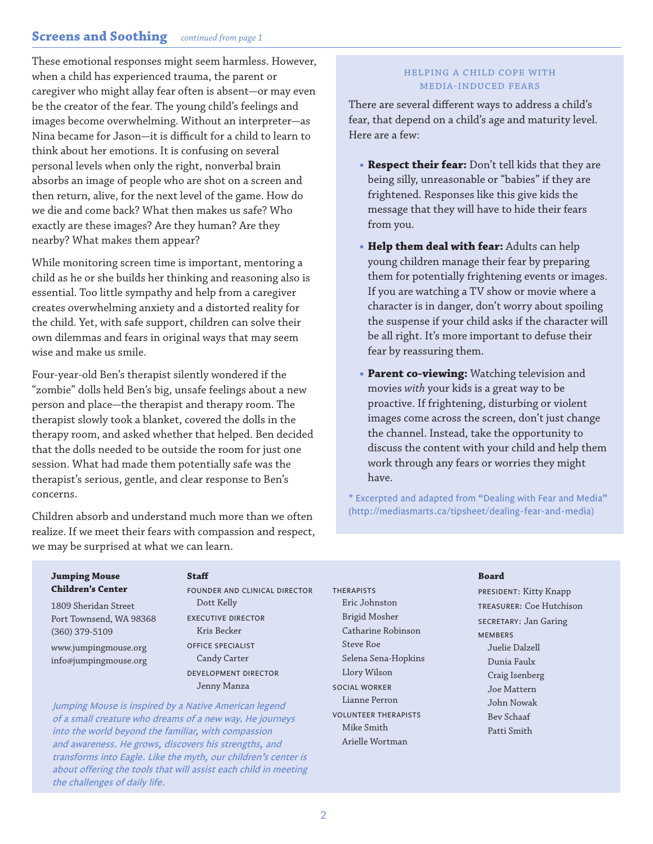### **Screens and Soothing** *continued from page 1*

These emotional responses might seem harmless. However, when a child has experienced trauma, the parent or caregiver who might allay fear often is absent—or may even be the creator of the fear. The young child's feelings and images become overwhelming. Without an interpreter—as Nina became for Jason—it is difficult for a child to learn to think about her emotions. It is confusing on several personal levels when only the right, nonverbal brain absorbs an image of people who are shot on a screen and then return, alive, for the next level of the game. How do we die and come back? What then makes us safe? Who exactly are these images? Are they human? Are they nearby? What makes them appear?

While monitoring screen time is important, mentoring a child as he or she builds her thinking and reasoning also is essential. Too little sympathy and help from a caregiver creates overwhelming anxiety and a distorted reality for the child. Yet, with safe support, children can solve their own dilemmas and fears in original ways that may seem wise and make us smile.

Four-year-old Ben's therapist silently wondered if the "zombie" dolls held Ben's big, unsafe feelings about a new person and place—the therapist and therapy room. The therapist slowly took a blanket, covered the dolls in the therapy room, and asked whether that helped. Ben decided that the dolls needed to be outside the room for just one session. What had made them potentially safe was the therapist's serious, gentle, and clear response to Ben's concerns.

Children absorb and understand much more than we often realize. If we meet their fears with compassion and respect, we may be surprised at what we can learn.

#### Helping a child cope with media-induced fears

There are several different ways to address a child's fear, that depend on a child's age and maturity level. Here are a few:

- **• Respect their fear:** Don't tell kids that they are being silly, unreasonable or "babies" if they are frightened. Responses like this give kids the message that they will have to hide their fears from you.
- **• Help them deal with fear:** Adults can help young children manage their fear by preparing them for potentially frightening events or images. If you are watching a TV show or movie where a character is in danger, don't worry about spoiling the suspense if your child asks if the character will be all right. It's more important to defuse their fear by reassuring them.
- **• Parent co-viewing:** Watching television and movies *with* your kids is a great way to be proactive. If frightening, disturbing or violent images come across the screen, don't just change the channel. Instead, take the opportunity to discuss the content with your child and help them work through any fears or worries they might have.

\* Excerpted and adapted from "Dealing with Fear and Media" (http://mediasmarts.ca/tipsheet/dealing-fear-and-media)

#### **Jumping Mouse Children's Center**

1809 Sheridan Street Port Townsend, WA 98368 (360) 379-5109

www.jumpingmouse.org info@jumpingmouse.org

#### **Staff**

FOUNDER AND CLINICAL DIRECTOR Dott Kelly EXECUTIVE DIRECTOR Kris Becker OFFICE SPECIALIST Candy Carter DEVELOPMENT DIRECTOR Jenny Manza

Jumping Mouse is inspired by a Native American legend of a small creature who dreams of a new way. He journeys into the world beyond the familiar, with compassion and awareness. He grows, discovers his strengths, and transforms into Eagle. Like the myth, our children's center is about offering the tools that will assist each child in meeting the challenges of daily life.

**THERAPISTS** Eric Johnston Brigid Mosher Catharine Robinson Steve Roe Selena Sena-Hopkins Llory Wilson SOCIAL WORKER Lianne Perron VOLUNTEER THERAPISTS Mike Smith Arielle Wortman

#### **Board**

PRESIDENT: Kitty Knapp TREASURER: Coe Hutchison SECRETARY: Jan Garing **MEMBERS** Juelie Dalzell Dunia Faulx Craig Isenberg Joe Mattern John Nowak Bev Schaaf Patti Smith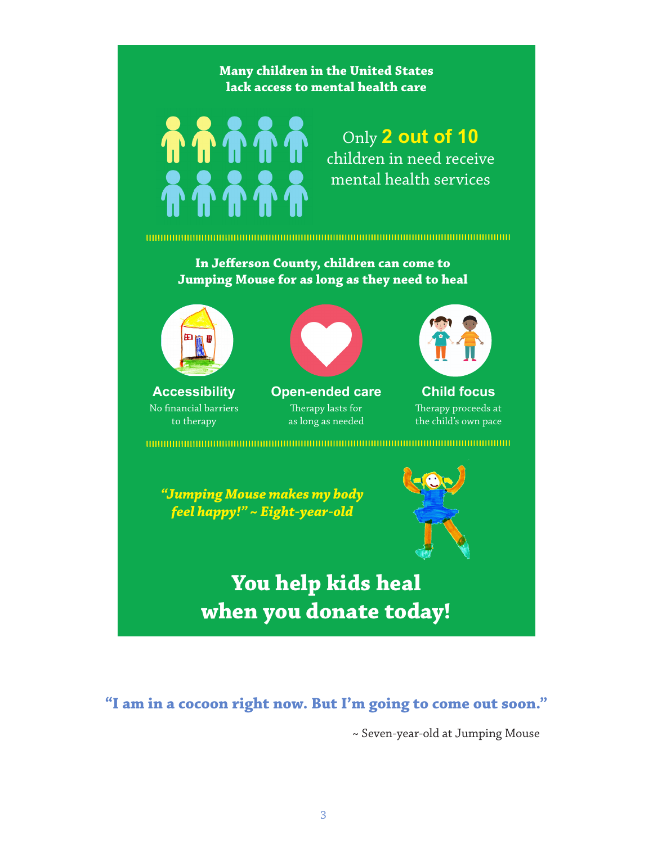

*feel happy!" ~ Eight-year-old*



**You help kids heal when you donate today!**

**"I am in a cocoon right now. But I'm going to come out soon."** 

~ Seven-year-old at Jumping Mouse